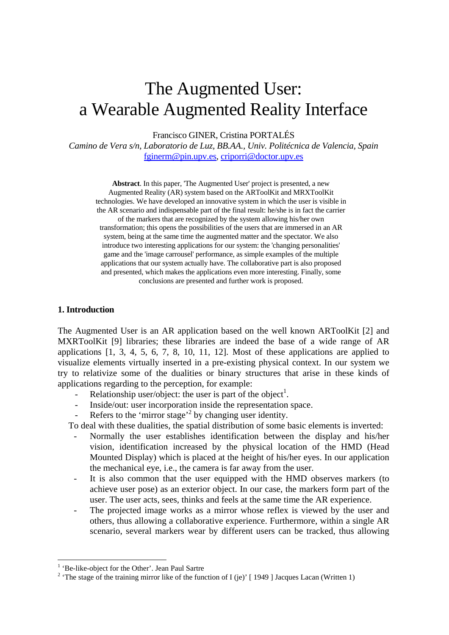# The Augmented User: a Wearable Augmented Reality Interface

Francisco GINER, Cristina PORTALÉS

*Camino de Vera s/n, Laboratorio de Luz, BB.AA., Univ. Politécnica de Valencia, Spain*  fginerm@pin.upv.es, criporri@doctor.upv.es

**Abstract**. In this paper, 'The Augmented User' project is presented, a new Augmented Reality (AR) system based on the ARToolKit and MRXToolKit technologies. We have developed an innovative system in which the user is visible in the AR scenario and indispensable part of the final result: he/she is in fact the carrier of the markers that are recognized by the system allowing his/her own transformation; this opens the possibilities of the users that are immersed in an AR system, being at the same time the augmented matter and the spectator. We also introduce two interesting applications for our system: the 'changing personalities' game and the 'image carrousel' performance, as simple examples of the multiple applications that our system actually have. The collaborative part is also proposed and presented, which makes the applications even more interesting. Finally, some conclusions are presented and further work is proposed.

## **1. Introduction**

The Augmented User is an AR application based on the well known ARToolKit [2] and MXRToolKit [9] libraries; these libraries are indeed the base of a wide range of AR applications [1, 3, 4, 5, 6, 7, 8, 10, 11, 12]. Most of these applications are applied to visualize elements virtually inserted in a pre-existing physical context. In our system we try to relativize some of the dualities or binary structures that arise in these kinds of applications regarding to the perception, for example:

- Relationship user/object: the user is part of the object<sup>1</sup>.
- Inside/out: user incorporation inside the representation space.
- Refers to the 'mirror stage'<sup>2</sup> by changing user identity.

To deal with these dualities, the spatial distribution of some basic elements is inverted:

- Normally the user establishes identification between the display and his/her vision, identification increased by the physical location of the HMD (Head Mounted Display) which is placed at the height of his/her eyes. In our application the mechanical eye, i.e., the camera is far away from the user.
- It is also common that the user equipped with the HMD observes markers (to achieve user pose) as an exterior object. In our case, the markers form part of the user. The user acts, sees, thinks and feels at the same time the AR experience.
- The projected image works as a mirror whose reflex is viewed by the user and others, thus allowing a collaborative experience. Furthermore, within a single AR scenario, several markers wear by different users can be tracked, thus allowing

<sup>&</sup>lt;sup>1</sup> 'Be-like-object for the Other'. Jean Paul Sartre  $2 \times 2$  'The stage of the training mirror like of the function

<sup>&</sup>lt;sup>2</sup> 'The stage of the training mirror like of the function of I (je)' [ 1949 ] Jacques Lacan (Written 1)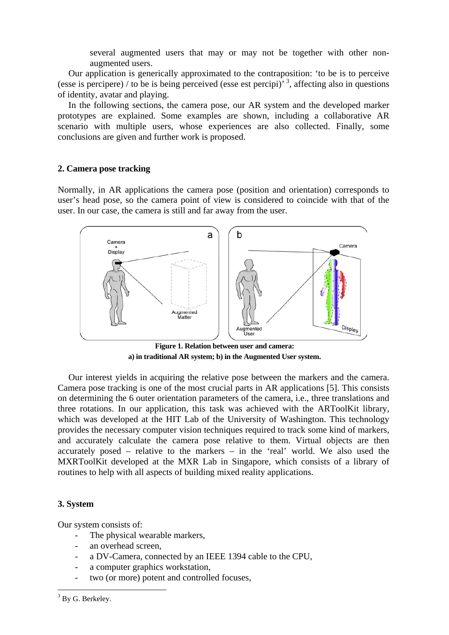several augmented users that may or may not be together with other nonaugmented users.

Our application is generically approximated to the contraposition: 'to be is to perceive (esse is percipere) / to be is being perceived (esse est percipi)<sup>3</sup>, affecting also in questions of identity, avatar and playing.

In the following sections, the camera pose, our AR system and the developed marker prototypes are explained. Some examples are shown, including a collaborative AR scenario with multiple users, whose experiences are also collected. Finally, some conclusions are given and further work is proposed.

## **2. Camera pose tracking**

Normally, in AR applications the camera pose (position and orientation) corresponds to user's head pose, so the camera point of view is considered to coincide with that of the user. In our case, the camera is still and far away from the user.



**Figure 1. Relation between user and camera: a) in traditional AR system; b) in the Augmented User system.** 

Our interest yields in acquiring the relative pose between the markers and the camera. Camera pose tracking is one of the most crucial parts in AR applications [5]. This consists on determining the 6 outer orientation parameters of the camera, i.e., three translations and three rotations. In our application, this task was achieved with the ARToolKit library, which was developed at the HIT Lab of the University of Washington. This technology provides the necessary computer vision techniques required to track some kind of markers, and accurately calculate the camera pose relative to them. Virtual objects are then accurately posed – relative to the markers – in the 'real' world. We also used the MXRToolKit developed at the MXR Lab in Singapore, which consists of a library of routines to help with all aspects of building mixed reality applications.

#### **3. System**

Our system consists of:

- The physical wearable markers,
- an overhead screen.
- a DV-Camera, connected by an IEEE 1394 cable to the CPU,
- a computer graphics workstation,
- two (or more) potent and controlled focuses,

<sup>&</sup>lt;sup>3</sup> By G. Berkeley.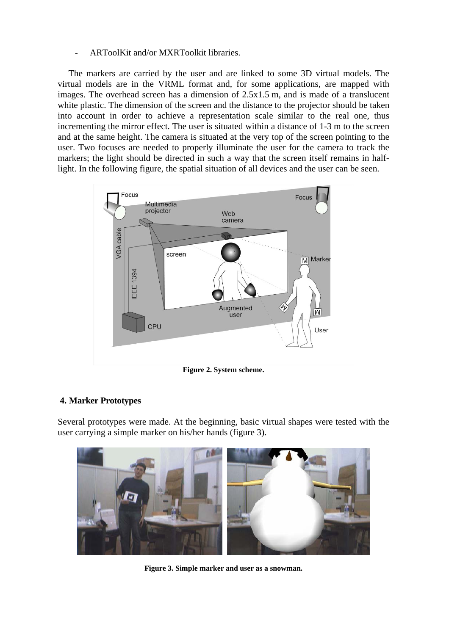## ARToolKit and/or MXRToolkit libraries.

The markers are carried by the user and are linked to some 3D virtual models. The virtual models are in the VRML format and, for some applications, are mapped with images. The overhead screen has a dimension of 2.5x1.5 m, and is made of a translucent white plastic. The dimension of the screen and the distance to the projector should be taken into account in order to achieve a representation scale similar to the real one, thus incrementing the mirror effect. The user is situated within a distance of 1-3 m to the screen and at the same height. The camera is situated at the very top of the screen pointing to the user. Two focuses are needed to properly illuminate the user for the camera to track the markers; the light should be directed in such a way that the screen itself remains in halflight. In the following figure, the spatial situation of all devices and the user can be seen.



**Figure 2. System scheme.** 

# **4. Marker Prototypes**

Several prototypes were made. At the beginning, basic virtual shapes were tested with the user carrying a simple marker on his/her hands (figure 3).



**Figure 3. Simple marker and user as a snowman.**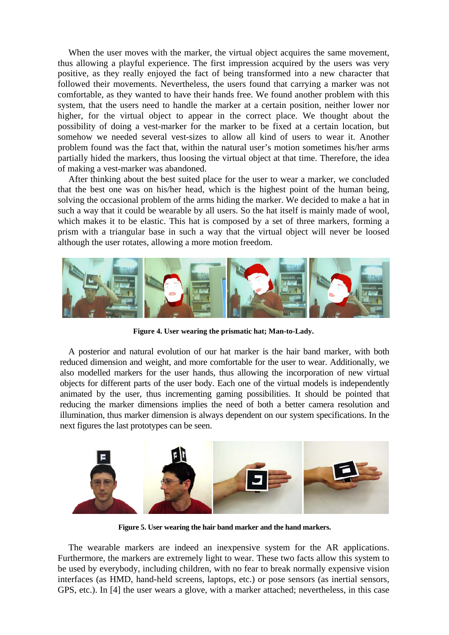When the user moves with the marker, the virtual object acquires the same movement, thus allowing a playful experience. The first impression acquired by the users was very positive, as they really enjoyed the fact of being transformed into a new character that followed their movements. Nevertheless, the users found that carrying a marker was not comfortable, as they wanted to have their hands free. We found another problem with this system, that the users need to handle the marker at a certain position, neither lower nor higher, for the virtual object to appear in the correct place. We thought about the possibility of doing a vest-marker for the marker to be fixed at a certain location, but somehow we needed several vest-sizes to allow all kind of users to wear it. Another problem found was the fact that, within the natural user's motion sometimes his/her arms partially hided the markers, thus loosing the virtual object at that time. Therefore, the idea of making a vest-marker was abandoned.

After thinking about the best suited place for the user to wear a marker, we concluded that the best one was on his/her head, which is the highest point of the human being, solving the occasional problem of the arms hiding the marker. We decided to make a hat in such a way that it could be wearable by all users. So the hat itself is mainly made of wool, which makes it to be elastic. This hat is composed by a set of three markers, forming a prism with a triangular base in such a way that the virtual object will never be loosed although the user rotates, allowing a more motion freedom.



**Figure 4. User wearing the prismatic hat; Man-to-Lady.** 

A posterior and natural evolution of our hat marker is the hair band marker, with both reduced dimension and weight, and more comfortable for the user to wear. Additionally, we also modelled markers for the user hands, thus allowing the incorporation of new virtual objects for different parts of the user body. Each one of the virtual models is independently animated by the user, thus incrementing gaming possibilities. It should be pointed that reducing the marker dimensions implies the need of both a better camera resolution and illumination, thus marker dimension is always dependent on our system specifications. In the next figures the last prototypes can be seen.



**Figure 5. User wearing the hair band marker and the hand markers.** 

The wearable markers are indeed an inexpensive system for the AR applications. Furthermore, the markers are extremely light to wear. These two facts allow this system to be used by everybody, including children, with no fear to break normally expensive vision interfaces (as HMD, hand-held screens, laptops, etc.) or pose sensors (as inertial sensors, GPS, etc.). In [4] the user wears a glove, with a marker attached; nevertheless, in this case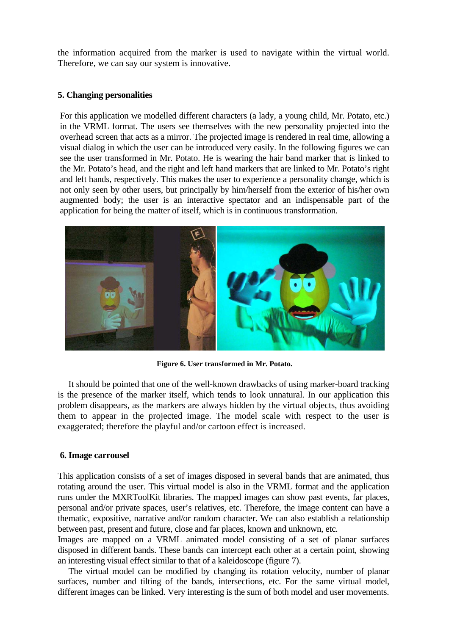the information acquired from the marker is used to navigate within the virtual world. Therefore, we can say our system is innovative.

## **5. Changing personalities**

For this application we modelled different characters (a lady, a young child, Mr. Potato, etc.) in the VRML format. The users see themselves with the new personality projected into the overhead screen that acts as a mirror. The projected image is rendered in real time, allowing a visual dialog in which the user can be introduced very easily. In the following figures we can see the user transformed in Mr. Potato. He is wearing the hair band marker that is linked to the Mr. Potato's head, and the right and left hand markers that are linked to Mr. Potato's right and left hands, respectively. This makes the user to experience a personality change, which is not only seen by other users, but principally by him/herself from the exterior of his/her own augmented body; the user is an interactive spectator and an indispensable part of the application for being the matter of itself, which is in continuous transformation.



**Figure 6. User transformed in Mr. Potato.** 

It should be pointed that one of the well-known drawbacks of using marker-board tracking is the presence of the marker itself, which tends to look unnatural. In our application this problem disappears, as the markers are always hidden by the virtual objects, thus avoiding them to appear in the projected image. The model scale with respect to the user is exaggerated; therefore the playful and/or cartoon effect is increased.

#### **6. Image carrousel**

This application consists of a set of images disposed in several bands that are animated, thus rotating around the user. This virtual model is also in the VRML format and the application runs under the MXRToolKit libraries. The mapped images can show past events, far places, personal and/or private spaces, user's relatives, etc. Therefore, the image content can have a thematic, expositive, narrative and/or random character. We can also establish a relationship between past, present and future, close and far places, known and unknown, etc.

Images are mapped on a VRML animated model consisting of a set of planar surfaces disposed in different bands. These bands can intercept each other at a certain point, showing an interesting visual effect similar to that of a kaleidoscope (figure 7).

The virtual model can be modified by changing its rotation velocity, number of planar surfaces, number and tilting of the bands, intersections, etc. For the same virtual model, different images can be linked. Very interesting is the sum of both model and user movements.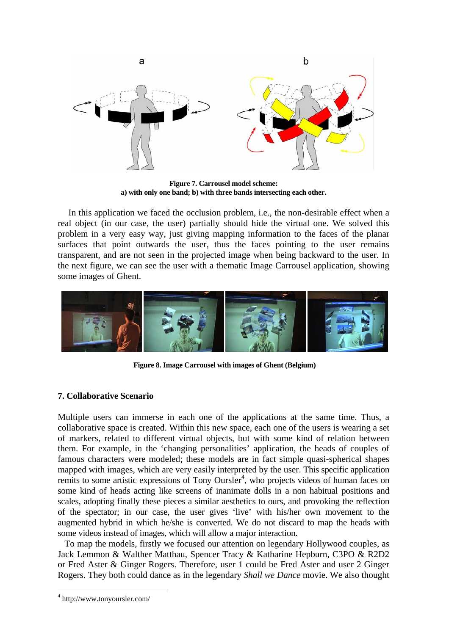

**Figure 7. Carrousel model scheme: a) with only one band; b) with three bands intersecting each other.** 

In this application we faced the occlusion problem, i.e., the non-desirable effect when a real object (in our case, the user) partially should hide the virtual one. We solved this problem in a very easy way, just giving mapping information to the faces of the planar surfaces that point outwards the user, thus the faces pointing to the user remains transparent, and are not seen in the projected image when being backward to the user. In the next figure, we can see the user with a thematic Image Carrousel application, showing some images of Ghent.



**Figure 8. Image Carrousel with images of Ghent (Belgium)** 

# **7. Collaborative Scenario**

Multiple users can immerse in each one of the applications at the same time. Thus, a collaborative space is created. Within this new space, each one of the users is wearing a set of markers, related to different virtual objects, but with some kind of relation between them. For example, in the 'changing personalities' application, the heads of couples of famous characters were modeled; these models are in fact simple quasi-spherical shapes mapped with images, which are very easily interpreted by the user. This specific application remits to some artistic expressions of Tony Oursler<sup>4</sup>, who projects videos of human faces on some kind of heads acting like screens of inanimate dolls in a non habitual positions and scales, adopting finally these pieces a similar aesthetics to ours, and provoking the reflection of the spectator; in our case, the user gives 'live' with his/her own movement to the augmented hybrid in which he/she is converted. We do not discard to map the heads with some videos instead of images, which will allow a major interaction.

 To map the models, firstly we focused our attention on legendary Hollywood couples, as Jack Lemmon & Walther Matthau, Spencer Tracy & Katharine Hepburn, C3PO & R2D2 or Fred Aster & Ginger Rogers. Therefore, user 1 could be Fred Aster and user 2 Ginger Rogers. They both could dance as in the legendary *Shall we Dance* movie. We also thought

<sup>4</sup> http://www.tonyoursler.com/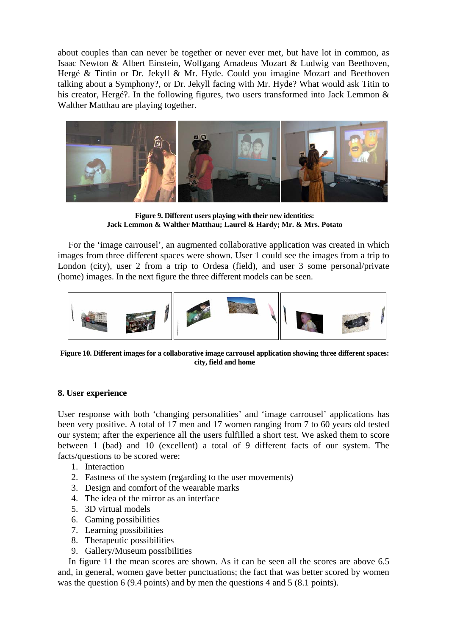about couples than can never be together or never ever met, but have lot in common, as Isaac Newton & Albert Einstein, Wolfgang Amadeus Mozart & Ludwig van Beethoven, Hergé & Tintin or Dr. Jekyll & Mr. Hyde. Could you imagine Mozart and Beethoven talking about a Symphony?, or Dr. Jekyll facing with Mr. Hyde? What would ask Titin to his creator, Hergé?. In the following figures, two users transformed into Jack Lemmon & Walther Matthau are playing together.



**Figure 9. Different users playing with their new identities: Jack Lemmon & Walther Matthau; Laurel & Hardy; Mr. & Mrs. Potato** 

For the 'image carrousel', an augmented collaborative application was created in which images from three different spaces were shown. User 1 could see the images from a trip to London (city), user 2 from a trip to Ordesa (field), and user 3 some personal/private (home) images. In the next figure the three different models can be seen.



**Figure 10. Different images for a collaborative image carrousel application showing three different spaces: city, field and home** 

# **8. User experience**

User response with both 'changing personalities' and 'image carrousel' applications has been very positive. A total of 17 men and 17 women ranging from 7 to 60 years old tested our system; after the experience all the users fulfilled a short test. We asked them to score between 1 (bad) and 10 (excellent) a total of 9 different facts of our system. The facts/questions to be scored were:

- 1. Interaction
- 2. Fastness of the system (regarding to the user movements)
- 3. Design and comfort of the wearable marks
- 4. The idea of the mirror as an interface
- 5. 3D virtual models
- 6. Gaming possibilities
- 7. Learning possibilities
- 8. Therapeutic possibilities
- 9. Gallery/Museum possibilities

In figure 11 the mean scores are shown. As it can be seen all the scores are above 6.5 and, in general, women gave better punctuations; the fact that was better scored by women was the question 6 (9.4 points) and by men the questions 4 and 5 (8.1 points).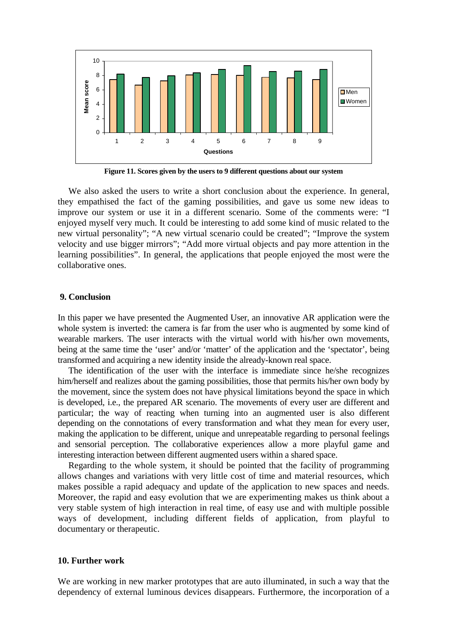

**Figure 11. Scores given by the users to 9 different questions about our system** 

We also asked the users to write a short conclusion about the experience. In general, they empathised the fact of the gaming possibilities, and gave us some new ideas to improve our system or use it in a different scenario. Some of the comments were: "I enjoyed myself very much. It could be interesting to add some kind of music related to the new virtual personality"; "A new virtual scenario could be created"; "Improve the system velocity and use bigger mirrors"; "Add more virtual objects and pay more attention in the learning possibilities". In general, the applications that people enjoyed the most were the collaborative ones.

#### **9. Conclusion**

In this paper we have presented the Augmented User, an innovative AR application were the whole system is inverted: the camera is far from the user who is augmented by some kind of wearable markers. The user interacts with the virtual world with his/her own movements, being at the same time the 'user' and/or 'matter' of the application and the 'spectator', being transformed and acquiring a new identity inside the already-known real space.

The identification of the user with the interface is immediate since he/she recognizes him/herself and realizes about the gaming possibilities, those that permits his/her own body by the movement, since the system does not have physical limitations beyond the space in which is developed, i.e., the prepared AR scenario. The movements of every user are different and particular; the way of reacting when turning into an augmented user is also different depending on the connotations of every transformation and what they mean for every user, making the application to be different, unique and unrepeatable regarding to personal feelings and sensorial perception. The collaborative experiences allow a more playful game and interesting interaction between different augmented users within a shared space.

Regarding to the whole system, it should be pointed that the facility of programming allows changes and variations with very little cost of time and material resources, which makes possible a rapid adequacy and update of the application to new spaces and needs. Moreover, the rapid and easy evolution that we are experimenting makes us think about a very stable system of high interaction in real time, of easy use and with multiple possible ways of development, including different fields of application, from playful to documentary or therapeutic.

#### **10. Further work**

We are working in new marker prototypes that are auto illuminated, in such a way that the dependency of external luminous devices disappears. Furthermore, the incorporation of a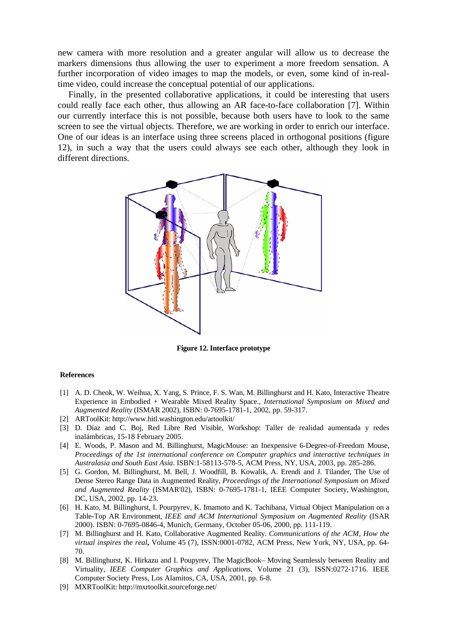new camera with more resolution and a greater angular will allow us to decrease the markers dimensions thus allowing the user to experiment a more freedom sensation. A further incorporation of video images to map the models, or even, some kind of in-realtime video, could increase the conceptual potential of our applications.

Finally, in the presented collaborative applications, it could be interesting that users could really face each other, thus allowing an AR face-to-face collaboration [7]. Within our currently interface this is not possible, because both users have to look to the same screen to see the virtual objects. Therefore, we are working in order to enrich our interface. One of our ideas is an interface using three screens placed in orthogonal positions (figure 12), in such a way that the users could always see each other, although they look in different directions.



**Figure 12. Interface prototype** 

#### **References**

- [1] A. D. Cheok, W. Weihua, X. Yang, S. Prince, F. S. Wan, M. Billinghurst and H. Kato, Interactive Theatre Experience in Embodied + Wearable Mixed Reality Space., *International Symposium on Mixed and Augmented Reality* (ISMAR 2002), ISBN: 0-7695-1781-1, 2002, pp. 59-317.
- [2] ARToolKit: http://www.hitl.washington.edu/artoolkit/
- [3] D. Díaz and C. Boj, Red Libre Red Visible, Workshop: Taller de realidad aumentada y redes inalámbricas, 15-18 February 2005.
- [4] E. Woods, P. Mason and M. Billinghurst, MagicMouse: an Inexpensive 6-Degree-of-Freedom Mouse, *Proceedings of the 1st international conference on Computer graphics and interactive techniques in Australasia and South East Asia*. ISBN:1-58113-578-5, ACM Press, NY, USA, 2003, pp. 285-286.
- [5] G. Gordon, M. Billinghurst, M. Bell, J. Woodfill, B. Kowalik, A. Erendi and J. Tilander, The Use of Dense Stereo Range Data in Augmented Reality, *Proceedings of the International Symposium on Mixed and Augmented Reality* (ISMAR'02), ISBN: 0-7695-1781-1, IEEE Computer Society, Washington, DC, USA, 2002, pp. 14-23.
- [6] H. Kato, M. Billinghurst, I. Pourpyrev, K. Imamoto and K. Tachibana, Virtual Object Manipulation on a Table-Top AR Environment, *IEEE and ACM International Symposium on Augmented Reality* (ISAR 2000). ISBN: 0-7695-0846-4, Munich, Germany, October 05-06, 2000, pp. 111-119.
- [7] M. Billinghurst and H. Kato, Collaborative Augmented Reality. *Communications of the ACM, How the virtual inspires the real***,** Volume 45 (7), ISSN:0001-0782, ACM Press, New York, NY, USA, pp. 64- 70.
- [8] M. Billinghurst, K. Hirkazu and I. Poupyrev, The MagicBook– Moving Seamlessly between Reality and Virtuality, *IEEE Computer Graphics and Applications*, Volume 21 (3), ISSN:0272-1716. IEEE Computer Society Press, Los Alamitos, CA, USA, 2001, pp. 6-8.
- [9] MXRToolKit: http://mxrtoolkit.sourceforge.net/